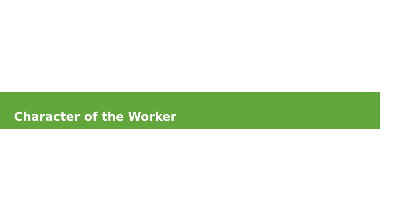#### **Character of the Worker**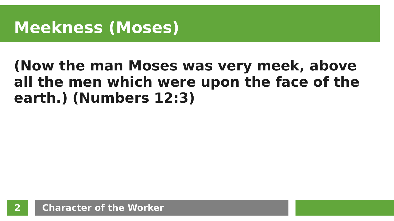### **Meekness (Moses)**

#### **(Now the man Moses was very meek, above all the men which were upon the face of the earth.) (Numbers 12:3)**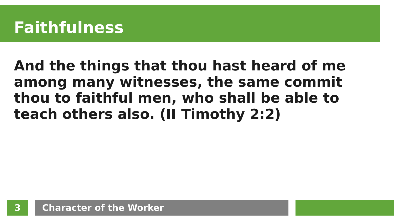### **Faithfulness**

#### **And the things that thou hast heard of me among many witnesses, the same commit thou to faithful men, who shall be able to teach others also. (II Timothy 2:2)**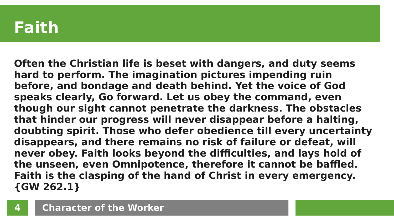#### **Faith**

**Often the Christian life is beset with dangers, and duty seems hard to perform. The imagination pictures impending ruin before, and bondage and death behind. Yet the voice of God speaks clearly, Go forward. Let us obey the command, even though our sight cannot penetrate the darkness. The obstacles that hinder our progress will never disappear before a halting, doubting spirit. Those who defer obedience till every uncertainty disappears, and there remains no risk of failure or defeat, will never obey. Faith looks beyond the difficulties, and lays hold of the unseen, even Omnipotence, therefore it cannot be baffled. Faith is the clasping of the hand of Christ in every emergency. {GW 262.1}**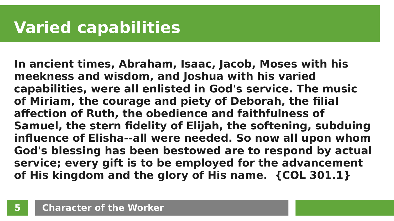## **Varied capabilities**

**In ancient times, Abraham, Isaac, Jacob, Moses with his meekness and wisdom, and Joshua with his varied capabilities, were all enlisted in God's service. The music of Miriam, the courage and piety of Deborah, the filial affection of Ruth, the obedience and faithfulness of Samuel, the stern fidelity of Elijah, the softening, subduing influence of Elisha--all were needed. So now all upon whom God's blessing has been bestowed are to respond by actual service; every gift is to be employed for the advancement of His kingdom and the glory of His name. {COL 301.1}**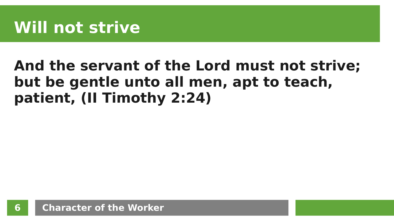### **And the servant of the Lord must not strive; but be gentle unto all men, apt to teach, patient, (II Timothy 2:24)**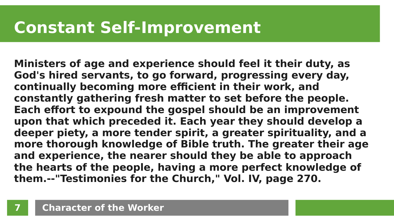### **Constant Self-Improvement**

**Ministers of age and experience should feel it their duty, as God's hired servants, to go forward, progressing every day, continually becoming more efficient in their work, and constantly gathering fresh matter to set before the people. Each effort to expound the gospel should be an improvement upon that which preceded it. Each year they should develop a deeper piety, a more tender spirit, a greater spirituality, and a more thorough knowledge of Bible truth. The greater their age and experience, the nearer should they be able to approach the hearts of the people, having a more perfect knowledge of them.--"Testimonies for the Church," Vol. IV, page 270.**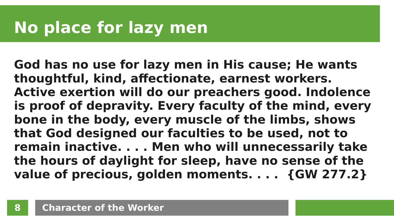# **No place for lazy men**

**God has no use for lazy men in His cause; He wants thoughtful, kind, affectionate, earnest workers. Active exertion will do our preachers good. Indolence is proof of depravity. Every faculty of the mind, every bone in the body, every muscle of the limbs, shows that God designed our faculties to be used, not to remain inactive. . . . Men who will unnecessarily take the hours of daylight for sleep, have no sense of the value of precious, golden moments. . . . {GW 277.2}**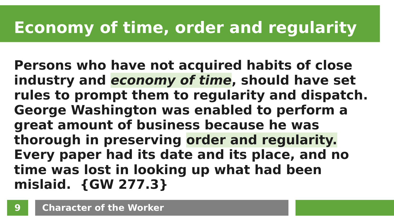# **Economy of time, order and regularity**

**Persons who have not acquired habits of close industry and economy of time, should have set rules to prompt them to regularity and dispatch. George Washington was enabled to perform a great amount of business because he was thorough in preserving order and regularity. Every paper had its date and its place, and no time was lost in looking up what had been mislaid. {GW 277.3}**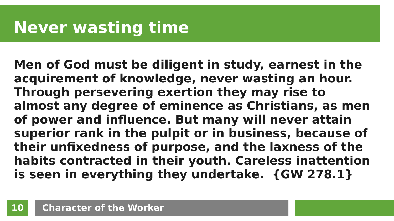# **Never wasting time**

**Men of God must be diligent in study, earnest in the acquirement of knowledge, never wasting an hour. Through persevering exertion they may rise to almost any degree of eminence as Christians, as men of power and influence. But many will never attain superior rank in the pulpit or in business, because of their unfixedness of purpose, and the laxness of the habits contracted in their youth. Careless inattention is seen in everything they undertake. {GW 278.1}**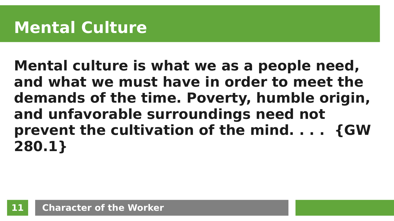**Mental culture is what we as a people need, and what we must have in order to meet the demands of the time. Poverty, humble origin, and unfavorable surroundings need not prevent the cultivation of the mind. . . . {GW 280.1}**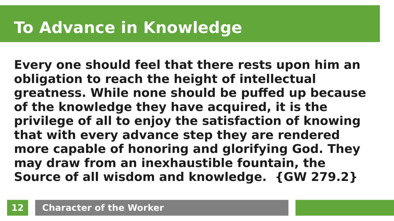# **To Advance in Knowledge**

**Every one should feel that there rests upon him an obligation to reach the height of intellectual greatness. While none should be puffed up because of the knowledge they have acquired, it is the privilege of all to enjoy the satisfaction of knowing that with every advance step they are rendered more capable of honoring and glorifying God. They may draw from an inexhaustible fountain, the Source of all wisdom and knowledge. {GW 279.2}**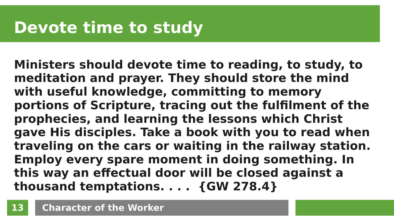# **Devote time to study**

**Ministers should devote time to reading, to study, to meditation and prayer. They should store the mind with useful knowledge, committing to memory portions of Scripture, tracing out the fulfilment of the prophecies, and learning the lessons which Christ gave His disciples. Take a book with you to read when traveling on the cars or waiting in the railway station. Employ every spare moment in doing something. In this way an effectual door will be closed against a thousand temptations. . . . {GW 278.4}**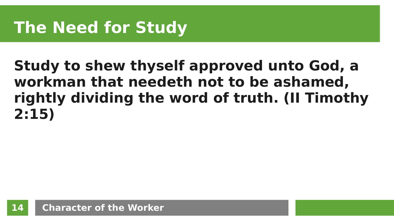# **The Need for Study**

### **Study to shew thyself approved unto God, a workman that needeth not to be ashamed, rightly dividing the word of truth. (II Timothy 2:15)**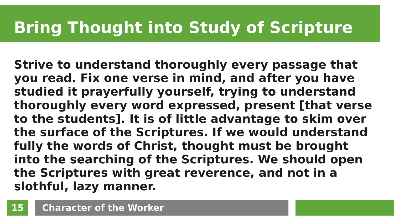# **Bring Thought into Study of Scripture**

**Strive to understand thoroughly every passage that you read. Fix one verse in mind, and after you have studied it prayerfully yourself, trying to understand thoroughly every word expressed, present [that verse to the students]. It is of little advantage to skim over the surface of the Scriptures. If we would understand fully the words of Christ, thought must be brought into the searching of the Scriptures. We should open the Scriptures with great reverence, and not in a slothful, lazy manner.**